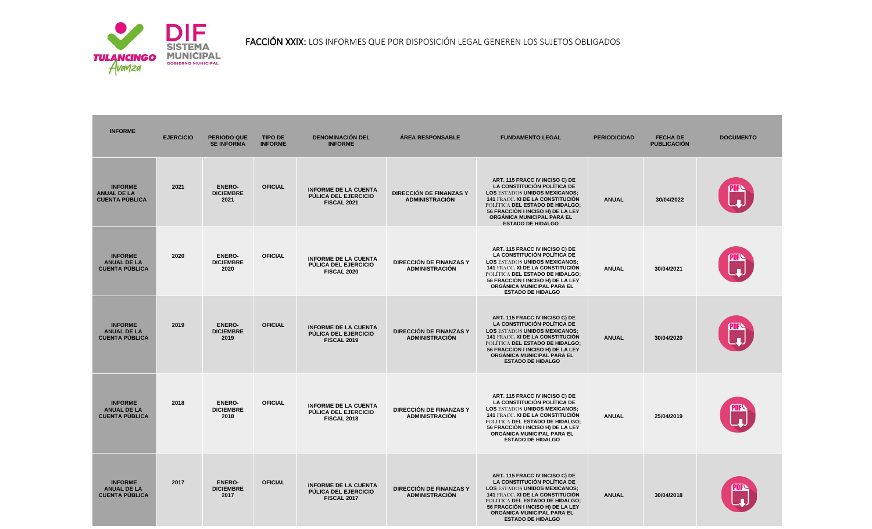

FACCIÓN XXIX: LOS INFORMES QUE POR DISPOSICIÓN LEGAL GENEREN LOS SUJETOS OBLIGADOS

| <b>INFORME</b>                                                | <b>EJERCICIO</b> | <b>PERIODO QUE</b><br><b>SE INFORMA</b>   | <b>TIPO DE</b><br><b>INFORME</b> | <b>DENOMINACIÓN DEL</b><br><b>INFORME</b>                                        | <b>ÁREA RESPONSABLE</b>                          | <b>FUNDAMENTO LEGAL</b>                                                                                                                                                                                                                                                            | <b>PERIODICIDAD</b> | <b>FECHA DE</b><br><b>PUBLICACIÓN</b> | <b>DOCUMENTO</b> |
|---------------------------------------------------------------|------------------|-------------------------------------------|----------------------------------|----------------------------------------------------------------------------------|--------------------------------------------------|------------------------------------------------------------------------------------------------------------------------------------------------------------------------------------------------------------------------------------------------------------------------------------|---------------------|---------------------------------------|------------------|
| <b>INFORME</b><br><b>ANUAL DE LA</b><br><b>CUENTA PUBLICA</b> | 2021             | <b>ENERO-</b><br><b>DICIEMBRE</b><br>2021 | <b>OFICIAL</b>                   | <b>INFORME DE LA CUENTA</b><br>PÚLICA DEL EJERCICIO<br><b>FISCAL 2021</b>        | DIRECCIÓN DE FINANZAS Y<br><b>ADMINISTRACIÓN</b> | ART. 115 FRACC IV INCISO C) DE<br>LA CONSTITUCIÓN POLÍTICA DE<br><b>LOS ESTADOS UNIDOS MEXICANOS;</b><br><b>141 FRACC. XI DE LA CONSTITUCIÓN</b><br>POLÍTICA DEL ESTADO DE HIDALGO;<br>56 FRACCIÓN I INCISO H) DE LA LEY<br>ORGÁNICA MUNICIPAL PARA EL<br><b>ESTADO DE HIDALGO</b> | <b>ANUAL</b>        | 30/04/2022                            |                  |
| <b>INFORME</b><br><b>ANUAL DE LA</b><br><b>CUENTA PÙBLICA</b> | 2020             | <b>ENERO-</b><br><b>DICIEMBRE</b><br>2020 | <b>OFICIAL</b>                   | <b>INFORME DE LA CUENTA</b><br>PÚLICA DEL EJERCICIO<br>FISCAL 2020               | DIRECCIÓN DE FINANZAS Y<br><b>ADMINISTRACIÓN</b> | ART. 115 FRACC IV INCISO C) DE<br>LA CONSTITUCIÓN POLÍTICA DE<br><b>LOS ESTADOS UNIDOS MEXICANOS;</b><br>141 FRACC. XI DE LA CONSTITUCIÓN<br>POLÍTICA DEL ESTADO DE HIDALGO;<br>56 FRACCIÓN I INCISO H) DE LA LEY<br>ORGÁNICA MUNICIPAL PARA EL<br><b>ESTADO DE HIDALGO</b>        | <b>ANUAL</b>        | 30/04/2021                            |                  |
| <b>INFORME</b><br><b>ANUAL DE LA</b><br><b>CUENTA PUBLICA</b> | 2019             | <b>ENERO-</b><br><b>DICIEMBRE</b><br>2019 | <b>OFICIAL</b>                   | <b>INFORME DE LA CUENTA</b><br><b>PÚLICA DEL EJERCICIO</b><br><b>FISCAL 2019</b> | DIRECCIÓN DE FINANZAS Y<br><b>ADMINISTRACIÓN</b> | ART. 115 FRACC IV INCISO C) DE<br>LA CONSTITUCIÓN POLÍTICA DE<br><b>LOS ESTADOS UNIDOS MEXICANOS;</b><br>141 FRACC. XI DE LA CONSTITUCIÓN<br>POLÍTICA DEL ESTADO DE HIDALGO;<br>56 FRACCIÓN I INCISO H) DE LA LEY<br>ORGÁNICA MUNICIPAL PARA EL<br><b>ESTADO DE HIDALGO</b>        | <b>ANUAL</b>        | 30/04/2020                            |                  |
| <b>INFORME</b><br><b>ANUAL DE LA</b><br><b>CUENTA PUBLICA</b> | 2018             | <b>ENERO-</b><br><b>DICIEMBRE</b><br>2018 | <b>OFICIAL</b>                   | <b>INFORME DE LA CUENTA</b><br>PÚLICA DEL EJERCICIO<br><b>FISCAL 2018</b>        | DIRECCIÓN DE FINANZAS Y<br><b>ADMINISTRACIÓN</b> | ART. 115 FRACC IV INCISO C) DE<br>LA CONSTITUCIÓN POLÍTICA DE<br><b>LOS ESTADOS UNIDOS MEXICANOS;</b><br><b>141 FRACC. XI DE LA CONSTITUCIÓN</b><br>POLÍTICA DEL ESTADO DE HIDALGO;<br>56 FRACCIÓN I INCISO H) DE LA LEY<br>ORGÁNICA MUNICIPAL PARA EL<br><b>ESTADO DE HIDALGO</b> | <b>ANUAL</b>        | 25/04/2019                            |                  |
| <b>INFORME</b><br><b>ANUAL DE LA</b><br><b>CUENTA PÙBLICA</b> | 2017             | <b>ENERO-</b><br><b>DICIEMBRE</b><br>2017 | <b>OFICIAL</b>                   | <b>INFORME DE LA CUENTA</b><br>PÚLICA DEL EJERCICIO<br><b>FISCAL 2017</b>        | DIRECCIÓN DE FINANZAS Y<br><b>ADMINISTRACIÓN</b> | ART. 115 FRACC IV INCISO C) DE<br>LA CONSTITUCIÓN POLÍTICA DE<br><b>LOS ESTADOS UNIDOS MEXICANOS;</b><br>141 FRACC. XI DE LA CONSTITUCIÓN<br>POLÍTICA DEL ESTADO DE HIDALGO;<br>56 FRACCIÓN I INCISO H) DE LA LEY<br>ORGÁNICA MUNICIPAL PARA EL<br><b>ESTADO DE HIDALGO</b>        | <b>ANUAL</b>        | 30/04/2018                            |                  |